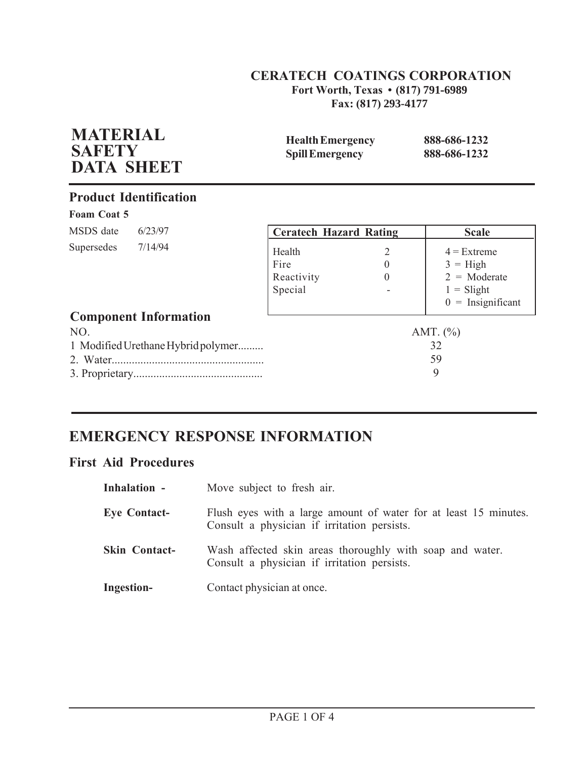### **Fort Worth, Texas • (817) 791-6989 Fax: (817) 293-4177 CERATECH COATINGS CORPORATION**

| <b>MATERIAL</b><br><b>SAFETY</b><br><b>DATA SHEET</b> | <b>Health Emergency</b><br><b>Spill Emergency</b> |                                 | 888-686-1232<br>888-686-1232                                                                |
|-------------------------------------------------------|---------------------------------------------------|---------------------------------|---------------------------------------------------------------------------------------------|
| <b>Product Identification</b>                         |                                                   |                                 |                                                                                             |
| Foam Coat 5                                           |                                                   |                                 |                                                                                             |
| MSDS date<br>6/23/97                                  | <b>Ceratech Hazard Rating</b>                     |                                 | <b>Scale</b>                                                                                |
| 7/14/94<br>Supersedes                                 | Health<br>Fire<br>Reactivity<br>Special           | 2<br>$\overline{0}$<br>$\theta$ | $4$ = Extreme<br>$3 = High$<br>$2 = \text{Moderate}$<br>$1 =$ Slight<br>$0 =$ Insignificant |
| <b>Component Information</b>                          |                                                   |                                 |                                                                                             |
| NO.                                                   |                                                   |                                 | AMT. $(\% )$                                                                                |
| 1 Modified Urethane Hybrid polymer                    |                                                   | 32                              |                                                                                             |
|                                                       |                                                   | 59                              |                                                                                             |
|                                                       |                                                   |                                 | 9                                                                                           |

# **EMERGENCY RESPONSE INFORMATION**

## **First Aid Procedures**

| Inhalation -         | Move subject to fresh air.                                                                                      |
|----------------------|-----------------------------------------------------------------------------------------------------------------|
| <b>Eye Contact-</b>  | Flush eyes with a large amount of water for at least 15 minutes.<br>Consult a physician if irritation persists. |
| <b>Skin Contact-</b> | Wash affected skin areas thoroughly with soap and water.<br>Consult a physician if irritation persists.         |
| Ingestion-           | Contact physician at once.                                                                                      |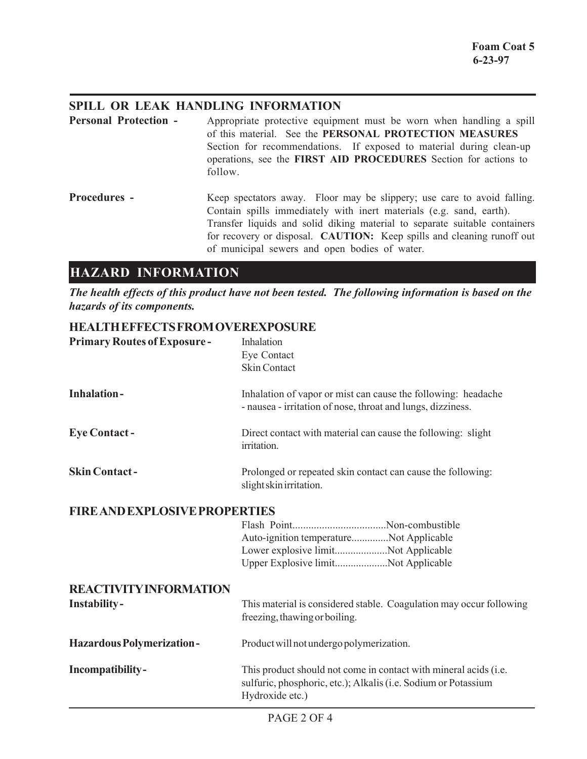### **SPILL OR LEAK HANDLING INFORMATION**

| <b>Personal Protection -</b> | Appropriate protective equipment must be worn when handling a spill<br>of this material. See the PERSONAL PROTECTION MEASURES<br>Section for recommendations. If exposed to material during clean-up<br>operations, see the FIRST AID PROCEDURES Section for actions to<br>follow.                                                                      |
|------------------------------|---------------------------------------------------------------------------------------------------------------------------------------------------------------------------------------------------------------------------------------------------------------------------------------------------------------------------------------------------------|
| <b>Procedures -</b>          | Keep spectators away. Floor may be slippery; use care to avoid falling.<br>Contain spills immediately with inert materials (e.g. sand, earth).<br>Transfer liquids and solid diking material to separate suitable containers<br>for recovery or disposal. CAUTION: Keep spills and cleaning runoff out<br>of municipal sewers and open bodies of water. |

## **HAZARD INFORMATION**

*The health effects of this product have not been tested. The following information is based on the hazards of its components.*

### **HEALTH EFFECTS FROM OVEREXPOSURE**

| <b>Primary Routes of Exposure-</b>   | Inhalation<br>Eye Contact<br><b>Skin Contact</b>                                                                                                      |
|--------------------------------------|-------------------------------------------------------------------------------------------------------------------------------------------------------|
| <b>Inhalation-</b>                   | Inhalation of vapor or mist can cause the following: headache<br>- nausea - irritation of nose, throat and lungs, dizziness.                          |
| <b>Eye Contact -</b>                 | Direct contact with material can cause the following: slight<br>irritation.                                                                           |
| <b>Skin Contact-</b>                 | Prolonged or repeated skin contact can cause the following:<br>slight skin irritation.                                                                |
| <b>FIRE AND EXPLOSIVE PROPERTIES</b> |                                                                                                                                                       |
|                                      | Auto-ignition temperatureNot Applicable<br>Lower explosive limitNot Applicable<br>Upper Explosive limitNot Applicable                                 |
| <b>REACTIVITY INFORMATION</b>        |                                                                                                                                                       |
| <b>Instability-</b>                  | This material is considered stable. Coagulation may occur following<br>freezing, thawing or boiling.                                                  |
| <b>Hazardous Polymerization-</b>     | Product will not undergo polymerization.                                                                                                              |
| Incompatibility-                     | This product should not come in contact with mineral acids (i.e.<br>sulfuric, phosphoric, etc.); Alkalis (i.e. Sodium or Potassium<br>Hydroxide etc.) |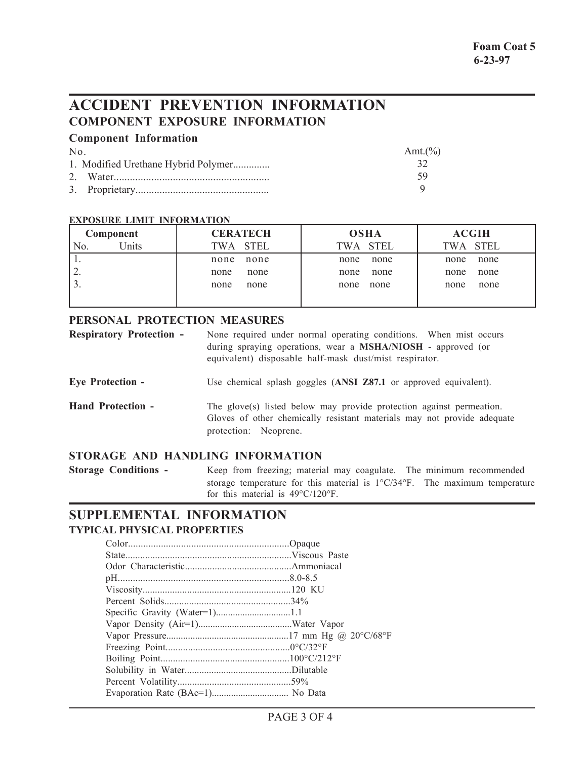# **ACCIDENT PREVENTION INFORMATION COMPONENT EXPOSURE INFORMATION**

## **Component Information**

| No. | Amt. $(\% )$ |
|-----|--------------|
|     |              |
|     | 59           |
|     |              |

#### **EXPOSURE LIMIT INFORMATION**

| Component    | <b>CERATECH</b> | <b>OSHA</b> | <b>ACGIH</b> |
|--------------|-----------------|-------------|--------------|
| Units<br>No. | TWA STEL        | TWA STEL    | TWA STEL     |
|              | none            | none        | none         |
|              | none            | none        | none         |
| ∼.           | none            | none        | none         |
|              | none            | none        | none         |
| J.           | none            | none        | none         |
|              | none            | none        | none         |
|              |                 |             |              |

#### **PERSONAL PROTECTION MEASURES**

| <b>Respiratory Protection -</b> | None required under normal operating conditions. When mist occurs<br>during spraying operations, wear a MSHA/NIOSH - approved (or<br>equivalent) disposable half-mask dust/mist respirator. |
|---------------------------------|---------------------------------------------------------------------------------------------------------------------------------------------------------------------------------------------|
| <b>Eye Protection -</b>         | Use chemical splash goggles (ANSI Z87.1 or approved equivalent).                                                                                                                            |
| <b>Hand Protection -</b>        | The glove(s) listed below may provide protection against permeation.<br>Gloves of other chemically resistant materials may not provide adequate<br>protection: Neoprene.                    |

### **STORAGE AND HANDLING INFORMATION**

**Storage Conditions -** Keep from freezing; material may coagulate. The minimum recommended storage temperature for this material is 1°C/34°F. The maximum temperature for this material is 49°C/120°F.

### **SUPPLEMENTAL INFORMATION TYPICAL PHYSICAL PROPERTIES**